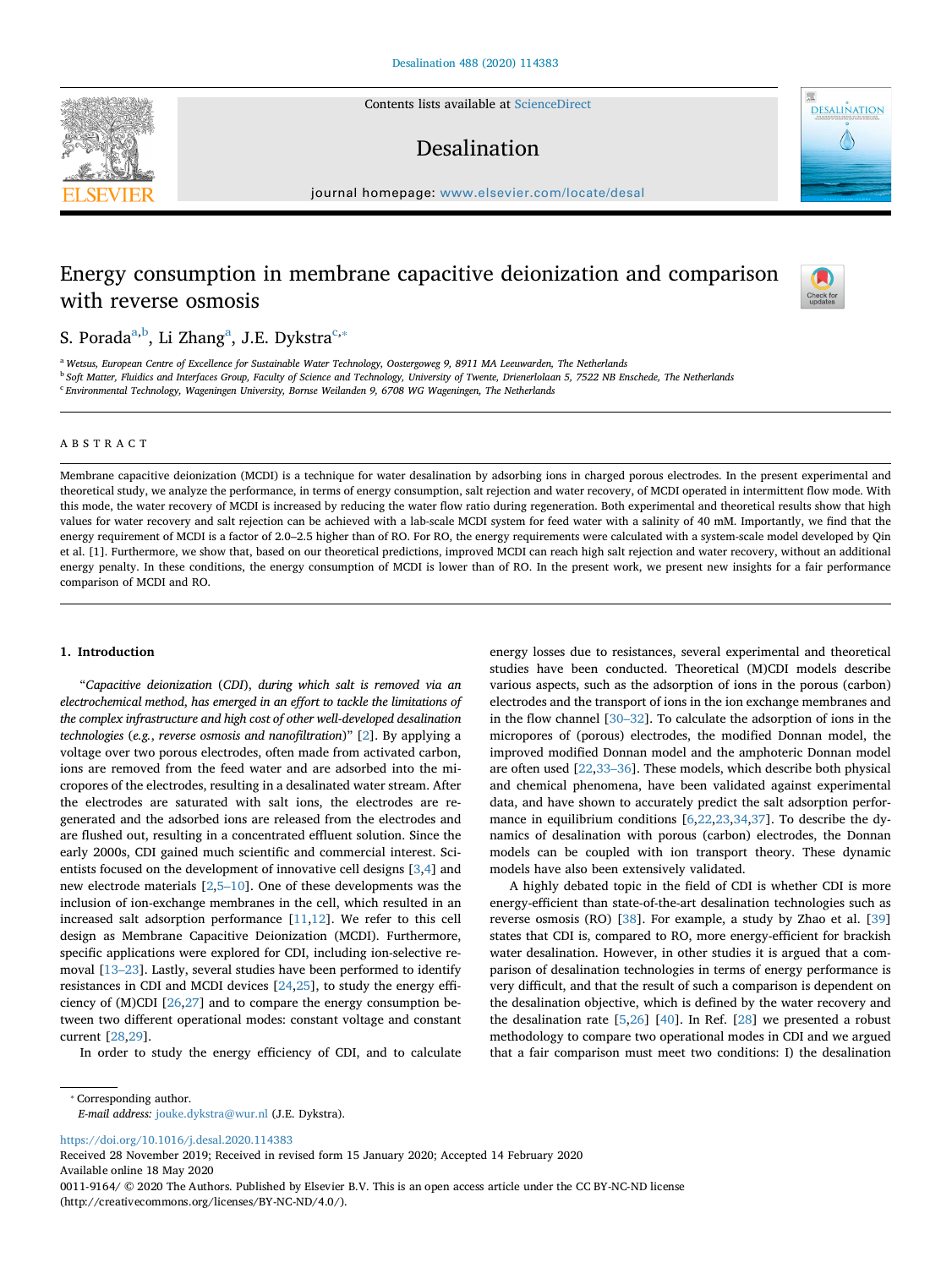Contents lists available at [ScienceDirect](http://www.sciencedirect.com/science/journal/00119164)

## Desalination

journal homepage: [www.elsevier.com/locate/desal](https://www.elsevier.com/locate/desal)

# Energy consumption in membrane capacitive deionization and comparison with reverse osmosis



**DESALINATION** 

S. Porada<sup>a[,b](#page-0-1)</sup>, Li Zh[a](#page-0-0)ng<sup>a</sup>, J.E. Dykstra<sup>[c,](#page-0-2)</sup>\*

<span id="page-0-2"></span><span id="page-0-1"></span><span id="page-0-0"></span><sup>a</sup> *Wetsus, European Centre of Excellence for Sustainable Water Technology, Oostergoweg 9, 8911 MA Leeuwarden, The Netherlands* <sup>b</sup> *Soft Matter, Fluidics and Interfaces Group, Faculty of Science and Technology, University of Twente, Drienerlolaan 5, 7522 NB Enschede, The Netherlands* <sup>c</sup> *Environmental Technology, Wageningen University, Bornse Weilanden 9, 6708 WG Wageningen, The Netherlands*

### ABSTRACT

Membrane capacitive deionization (MCDI) is a technique for water desalination by adsorbing ions in charged porous electrodes. In the present experimental and theoretical study, we analyze the performance, in terms of energy consumption, salt rejection and water recovery, of MCDI operated in intermittent flow mode. With this mode, the water recovery of MCDI is increased by reducing the water flow ratio during regeneration. Both experimental and theoretical results show that high values for water recovery and salt rejection can be achieved with a lab-scale MCDI system for feed water with a salinity of 40 mM. Importantly, we find that the energy requirement of MCDI is a factor of 2.0–2.5 higher than of RO. For RO, the energy requirements were calculated with a system-scale model developed by Qin et al. [1]. Furthermore, we show that, based on our theoretical predictions, improved MCDI can reach high salt rejection and water recovery, without an additional energy penalty. In these conditions, the energy consumption of MCDI is lower than of RO. In the present work, we present new insights for a fair performance comparison of MCDI and RO.

## **1. Introduction**

"*Capacitive deionization* (*CDI*), *during which salt is removed via an electrochemical method*, *has emerged in an effort to tackle the limitations of the complex infrastructure and high cost of other well*-*developed desalination technologies* (*e.g.*, *reverse osmosis and nanofiltration*)" [[2](#page-5-0)]. By applying a voltage over two porous electrodes, often made from activated carbon, ions are removed from the feed water and are adsorbed into the micropores of the electrodes, resulting in a desalinated water stream. After the electrodes are saturated with salt ions, the electrodes are regenerated and the adsorbed ions are released from the electrodes and are flushed out, resulting in a concentrated effluent solution. Since the early 2000s, CDI gained much scientific and commercial interest. Scientists focused on the development of innovative cell designs [[3](#page-5-1)[,4\]](#page-5-2) and new electrode materials [\[2,](#page-5-0)[5–10](#page-5-3)]. One of these developments was the inclusion of ion-exchange membranes in the cell, which resulted in an increased salt adsorption performance [[11,](#page-6-0)[12\]](#page-6-1). We refer to this cell design as Membrane Capacitive Deionization (MCDI). Furthermore, specific applications were explored for CDI, including ion-selective removal [\[13–23](#page-6-2)]. Lastly, several studies have been performed to identify resistances in CDI and MCDI devices [\[24](#page-6-3)[,25](#page-6-4)], to study the energy efficiency of (M)CDI [[26,](#page-6-5)[27\]](#page-6-6) and to compare the energy consumption between two different operational modes: constant voltage and constant current [\[28](#page-6-7)[,29](#page-6-8)].

In order to study the energy efficiency of CDI, and to calculate

energy losses due to resistances, several experimental and theoretical studies have been conducted. Theoretical (M)CDI models describe various aspects, such as the adsorption of ions in the porous (carbon) electrodes and the transport of ions in the ion exchange membranes and in the flow channel [\[30–32](#page-6-9)]. To calculate the adsorption of ions in the micropores of (porous) electrodes, the modified Donnan model, the improved modified Donnan model and the amphoteric Donnan model are often used [\[22](#page-6-10)[,33–36](#page-6-11)]. These models, which describe both physical and chemical phenomena, have been validated against experimental data, and have shown to accurately predict the salt adsorption performance in equilibrium conditions [[6](#page-5-4),[22,](#page-6-10)[23,](#page-6-12)[34](#page-6-13)[,37](#page-6-14)]. To describe the dynamics of desalination with porous (carbon) electrodes, the Donnan models can be coupled with ion transport theory. These dynamic models have also been extensively validated.

A highly debated topic in the field of CDI is whether CDI is more energy-efficient than state-of-the-art desalination technologies such as reverse osmosis (RO) [[38\]](#page-6-15). For example, a study by Zhao et al. [\[39](#page-6-16)] states that CDI is, compared to RO, more energy-efficient for brackish water desalination. However, in other studies it is argued that a comparison of desalination technologies in terms of energy performance is very difficult, and that the result of such a comparison is dependent on the desalination objective, which is defined by the water recovery and the desalination rate [[5](#page-5-3)[,26](#page-6-5)] [\[40](#page-6-17)]. In Ref. [[28\]](#page-6-7) we presented a robust methodology to compare two operational modes in CDI and we argued that a fair comparison must meet two conditions: I) the desalination

*E-mail address:* [jouke.dykstra@wur.nl](mailto:jouke.dykstra@wur.nl) (J.E. Dykstra).

<https://doi.org/10.1016/j.desal.2020.114383>

Received 28 November 2019; Received in revised form 15 January 2020; Accepted 14 February 2020 Available online 18 May 2020

0011-9164/ © 2020 The Authors. Published by Elsevier B.V. This is an open access article under the CC BY-NC-ND license (http://creativecommons.org/licenses/BY-NC-ND/4.0/).



<span id="page-0-3"></span><sup>⁎</sup> Corresponding author.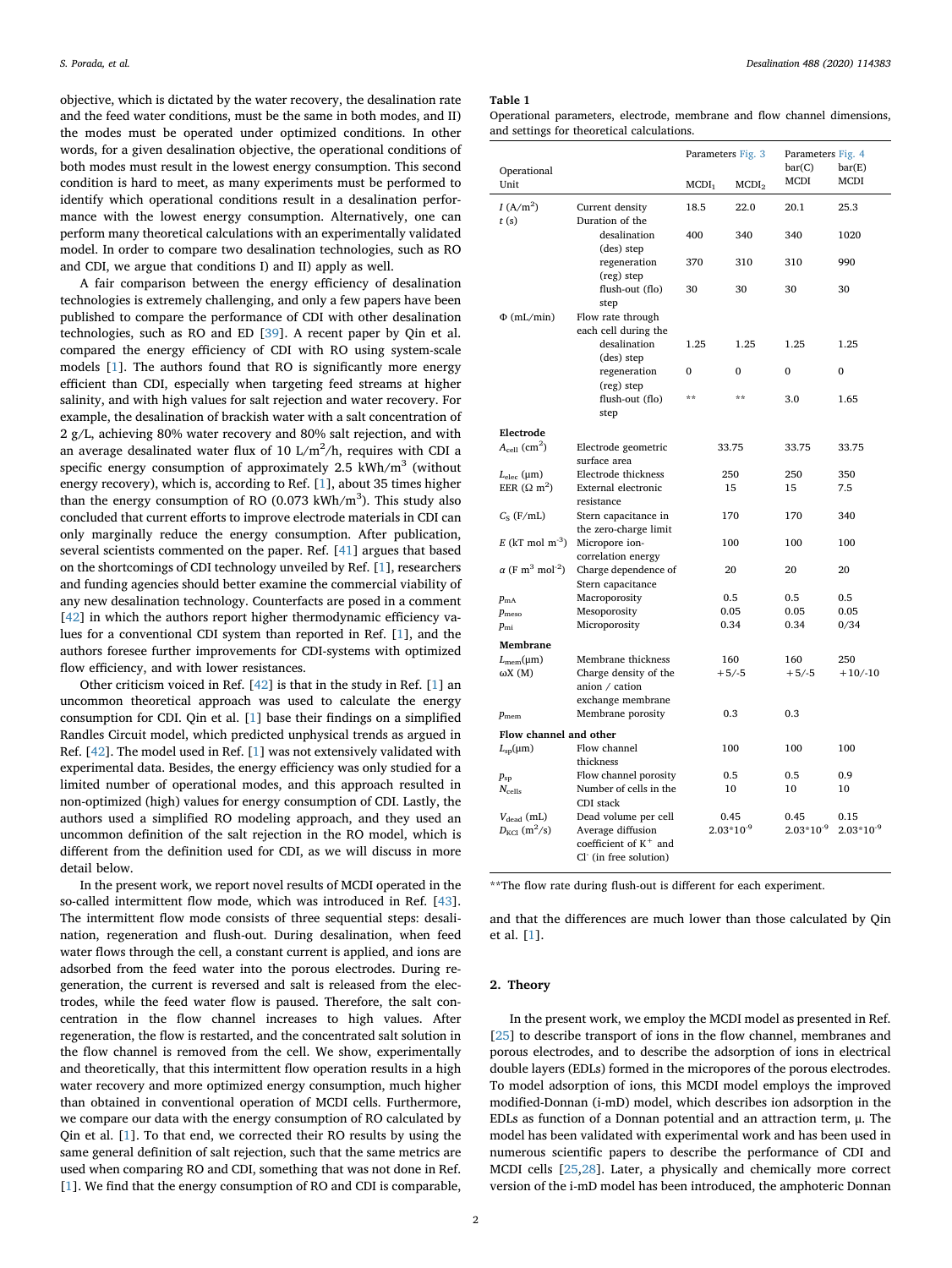objective, which is dictated by the water recovery, the desalination rate and the feed water conditions, must be the same in both modes, and II) the modes must be operated under optimized conditions. In other words, for a given desalination objective, the operational conditions of both modes must result in the lowest energy consumption. This second condition is hard to meet, as many experiments must be performed to identify which operational conditions result in a desalination performance with the lowest energy consumption. Alternatively, one can perform many theoretical calculations with an experimentally validated model. In order to compare two desalination technologies, such as RO and CDI, we argue that conditions I) and II) apply as well.

A fair comparison between the energy efficiency of desalination technologies is extremely challenging, and only a few papers have been published to compare the performance of CDI with other desalination technologies, such as RO and ED [[39\]](#page-6-16). A recent paper by Qin et al. compared the energy efficiency of CDI with RO using system-scale models [[1](#page-5-5)]. The authors found that RO is significantly more energy efficient than CDI, especially when targeting feed streams at higher salinity, and with high values for salt rejection and water recovery. For example, the desalination of brackish water with a salt concentration of 2 g/L, achieving 80% water recovery and 80% salt rejection, and with an average desalinated water flux of 10 L/m $^2$ /h, requires with CDI a specific energy consumption of approximately  $2.5$  kWh/m<sup>3</sup> (without energy recovery), which is, according to Ref. [[1](#page-5-5)], about 35 times higher than the energy consumption of RO  $(0.073 \text{ kWh/m}^3)$ . This study also concluded that current efforts to improve electrode materials in CDI can only marginally reduce the energy consumption. After publication, several scientists commented on the paper. Ref. [[41\]](#page-6-18) argues that based on the shortcomings of CDI technology unveiled by Ref. [[1](#page-5-5)], researchers and funding agencies should better examine the commercial viability of any new desalination technology. Counterfacts are posed in a comment [[42\]](#page-6-19) in which the authors report higher thermodynamic efficiency values for a conventional CDI system than reported in Ref. [\[1\]](#page-5-5), and the authors foresee further improvements for CDI-systems with optimized flow efficiency, and with lower resistances.

Other criticism voiced in Ref. [[42\]](#page-6-19) is that in the study in Ref. [\[1\]](#page-5-5) an uncommon theoretical approach was used to calculate the energy consumption for CDI. Qin et al. [\[1\]](#page-5-5) base their findings on a simplified Randles Circuit model, which predicted unphysical trends as argued in Ref. [[42\]](#page-6-19). The model used in Ref. [\[1\]](#page-5-5) was not extensively validated with experimental data. Besides, the energy efficiency was only studied for a limited number of operational modes, and this approach resulted in non-optimized (high) values for energy consumption of CDI. Lastly, the authors used a simplified RO modeling approach, and they used an uncommon definition of the salt rejection in the RO model, which is different from the definition used for CDI, as we will discuss in more detail below.

In the present work, we report novel results of MCDI operated in the so-called intermittent flow mode, which was introduced in Ref. [\[43](#page-6-20)]. The intermittent flow mode consists of three sequential steps: desalination, regeneration and flush-out. During desalination, when feed water flows through the cell, a constant current is applied, and ions are adsorbed from the feed water into the porous electrodes. During regeneration, the current is reversed and salt is released from the electrodes, while the feed water flow is paused. Therefore, the salt concentration in the flow channel increases to high values. After regeneration, the flow is restarted, and the concentrated salt solution in the flow channel is removed from the cell. We show, experimentally and theoretically, that this intermittent flow operation results in a high water recovery and more optimized energy consumption, much higher than obtained in conventional operation of MCDI cells. Furthermore, we compare our data with the energy consumption of RO calculated by Qin et al. [\[1\]](#page-5-5). To that end, we corrected their RO results by using the same general definition of salt rejection, such that the same metrics are used when comparing RO and CDI, something that was not done in Ref. [[1](#page-5-5)]. We find that the energy consumption of RO and CDI is comparable,

#### <span id="page-1-0"></span>**Table 1**

Operational parameters, electrode, membrane and flow channel dimensions, and settings for theoretical calculations.

|                                                |                                                              | Parameters Fig. 3 |                   | Parameters Fig. 4<br>bar(C)<br>bar(E) |                |
|------------------------------------------------|--------------------------------------------------------------|-------------------|-------------------|---------------------------------------|----------------|
| Operational<br>Unit                            |                                                              | MCDI <sub>1</sub> | MCDI <sub>2</sub> | MCDI                                  | MCDI           |
| $I(A/m^2)$<br>t(s)                             | Current density<br>Duration of the                           | 18.5              | 22.0              | 20.1                                  | 25.3           |
|                                                | desalination<br>(des) step                                   | 400               | 340               | 340                                   | 1020           |
|                                                | regeneration<br>(reg) step                                   | 370               | 310               | 310                                   | 990            |
|                                                | flush-out (flo)<br>step                                      | 30                | 30                | 30                                    | 30             |
| $\Phi$ (mL/min)                                | Flow rate through                                            |                   |                   |                                       |                |
|                                                | each cell during the                                         |                   |                   |                                       |                |
|                                                | desalination<br>(des) step                                   | 1.25              | 1.25              | 1.25                                  | 1.25           |
|                                                | regeneration<br>(reg) step                                   | 0                 | $\Omega$          | $\Omega$                              | $\Omega$       |
|                                                | flush-out (flo)<br>step                                      | **                | $**$              | 3.0                                   | 1.65           |
| Electrode                                      |                                                              |                   |                   |                                       |                |
| $A_{\text{cell}}$ (cm <sup>2</sup> )           | Electrode geometric                                          |                   |                   | 33.75                                 | 33.75          |
|                                                | surface area                                                 | 33.75             |                   | 250                                   |                |
| $L_{\text{elec}}$ (µm)                         | Electrode thickness                                          |                   | 250               |                                       | 350            |
| EER $(\Omega \text{ m}^2)$                     | External electronic<br>resistance                            | 15                |                   | 15                                    | 7.5            |
| $C_S$ (F/mL)                                   | Stern capacitance in<br>the zero-charge limit                | 170               |                   | 170                                   | 340            |
| $E$ (kT mol m <sup>-3</sup> )                  | Micropore ion-<br>correlation energy                         | 100               |                   | 100                                   | 100            |
| $\alpha$ (F m <sup>3</sup> mol <sup>-2</sup> ) | Charge dependence of<br>Stern capacitance                    | 20                |                   | 20                                    | 20             |
| $p_{\text{mA}}$                                | Macroporosity                                                | 0.5               |                   | 0.5                                   | 0.5            |
| $p_{\text{meso}}$                              | Mesoporosity                                                 | 0.05              |                   | 0.05                                  | 0.05           |
| $p_{\rm mi}$                                   | Microporosity                                                | 0.34              |                   | 0.34                                  | 0/34           |
| Membrane                                       |                                                              |                   |                   |                                       |                |
| $L_{\text{mem}}(\mu m)$                        | Membrane thickness                                           | 160               |                   | 160                                   | 250            |
| ωX(M)                                          | Charge density of the<br>anion / cation<br>exchange membrane | $+5/-5$           |                   | $+5/-5$                               | $+10/-10$      |
| $p_{\rm mem}$                                  | Membrane porosity                                            |                   | 0.3               | 0.3                                   |                |
| Flow channel and other                         |                                                              |                   |                   |                                       |                |
| $L_{\rm SD}(\mu \text{m})$                     | Flow channel<br>thickness                                    | 100               |                   | 100                                   | 100            |
| $p_{sp}$                                       | Flow channel porosity                                        |                   | 0.5               | 0.5                                   | 0.9            |
| $N_{\text{cells}}$                             | Number of cells in the                                       |                   | 10                | 10                                    | 10             |
| $V_{\text{dead}}$ (mL)                         | CDI stack<br>Dead volume per cell                            |                   | 0.45              | 0.45                                  | 0.15           |
| $D_{\text{KCl}}$ (m <sup>2</sup> /s)           | Average diffusion                                            |                   | $2.03*10^{-9}$    | $2.03*10^{-9}$                        | $2.03*10^{-9}$ |
|                                                | coefficient of K <sup>+</sup> and<br>Cl (in free solution)   |                   |                   |                                       |                |

\*\*The flow rate during flush-out is different for each experiment.

and that the differences are much lower than those calculated by Qin et al. [[1](#page-5-5)].

## **2. Theory**

In the present work, we employ the MCDI model as presented in Ref. [[25\]](#page-6-4) to describe transport of ions in the flow channel, membranes and porous electrodes, and to describe the adsorption of ions in electrical double layers (EDLs) formed in the micropores of the porous electrodes. To model adsorption of ions, this MCDI model employs the improved modified-Donnan (i-mD) model, which describes ion adsorption in the EDLs as function of a Donnan potential and an attraction term, μ. The model has been validated with experimental work and has been used in numerous scientific papers to describe the performance of CDI and MCDI cells [[25,](#page-6-4)[28](#page-6-7)]. Later, a physically and chemically more correct version of the i-mD model has been introduced, the amphoteric Donnan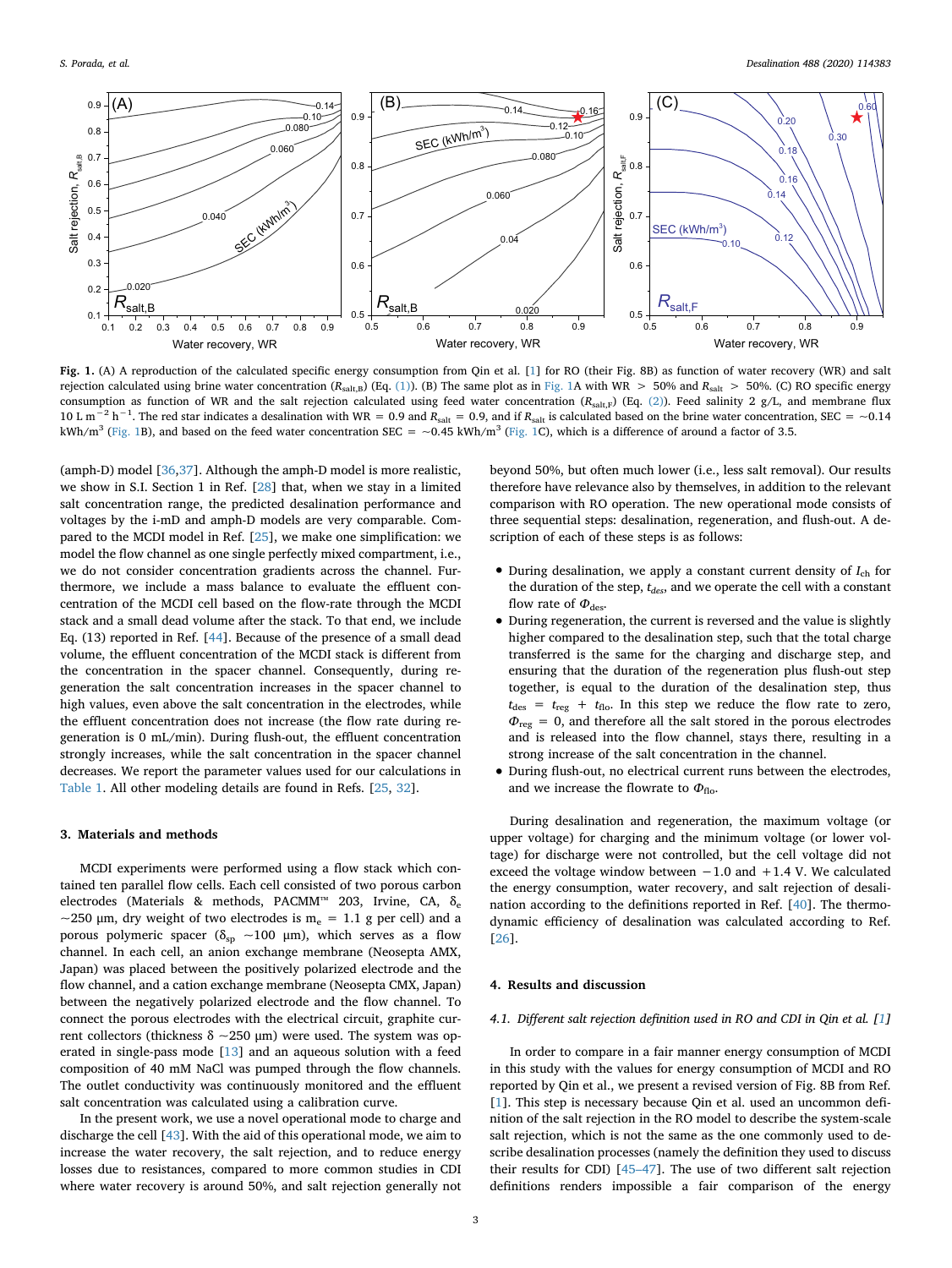<span id="page-2-0"></span>

**Fig. 1.** (A) A reproduction of the calculated specific energy consumption from Qin et al. [[1\]](#page-5-5) for RO (their Fig. 8B) as function of water recovery (WR) and salt rejection calculated using brine water concentration (*R<sub>salt,B</sub>*) (Eq. [\(1\)\)](#page-3-0). (B) The same plot as in [Fig. 1](#page-2-0)A with WR > 50% and *R<sub>salt</sub>* > 50%. (C) RO specific energy consumption as function of WR and the salt rejection calculated using feed water concentration (Rsalt,F) (Eq. [\(2\)](#page-3-1)). Feed salinity 2 g/L, and membrane flux 10 L m<sup>-2</sup> h<sup>-1</sup>. The red star indicates a desalination with WR = 0.9 and *R*<sub>salt</sub> = 0.9, and if *R*<sub>salt</sub> is calculated based on the brine water concentration, SEC = ~0.14 kWh/m<sup>3</sup> ([Fig. 1](#page-2-0)B), and based on the feed water concentration SEC = ~0.45 kWh/m<sup>3</sup> ([Fig. 1C](#page-2-0)), which is a difference of around a factor of 3.5.

(amph-D) model [[36](#page-6-21)[,37](#page-6-14)]. Although the amph-D model is more realistic, we show in S.I. Section 1 in Ref. [[28\]](#page-6-7) that, when we stay in a limited salt concentration range, the predicted desalination performance and voltages by the i-mD and amph-D models are very comparable. Compared to the MCDI model in Ref. [\[25](#page-6-4)], we make one simplification: we model the flow channel as one single perfectly mixed compartment, i.e., we do not consider concentration gradients across the channel. Furthermore, we include a mass balance to evaluate the effluent concentration of the MCDI cell based on the flow-rate through the MCDI stack and a small dead volume after the stack. To that end, we include Eq. (13) reported in Ref. [[44\]](#page-6-22). Because of the presence of a small dead volume, the effluent concentration of the MCDI stack is different from the concentration in the spacer channel. Consequently, during regeneration the salt concentration increases in the spacer channel to high values, even above the salt concentration in the electrodes, while the effluent concentration does not increase (the flow rate during regeneration is 0 mL/min). During flush-out, the effluent concentration strongly increases, while the salt concentration in the spacer channel decreases. We report the parameter values used for our calculations in [Table 1](#page-1-0). All other modeling details are found in Refs. [\[25](#page-6-4), [32](#page-6-23)].

## **3. Materials and methods**

MCDI experiments were performed using a flow stack which contained ten parallel flow cells. Each cell consisted of two porous carbon electrodes (Materials & methods, PACMM™ 203, Irvine, CA, δ<sub>e</sub> ~250 µm, dry weight of two electrodes is  $m_e = 1.1$  g per cell) and a porous polymeric spacer ( $\delta_{sp} \sim 100 \mu m$ ), which serves as a flow channel. In each cell, an anion exchange membrane (Neosepta AMX, Japan) was placed between the positively polarized electrode and the flow channel, and a cation exchange membrane (Neosepta CMX, Japan) between the negatively polarized electrode and the flow channel. To connect the porous electrodes with the electrical circuit, graphite current collectors (thickness δ ~250 μm) were used. The system was operated in single-pass mode [\[13](#page-6-2)] and an aqueous solution with a feed composition of 40 mM NaCl was pumped through the flow channels. The outlet conductivity was continuously monitored and the effluent salt concentration was calculated using a calibration curve.

In the present work, we use a novel operational mode to charge and discharge the cell [[43\]](#page-6-20). With the aid of this operational mode, we aim to increase the water recovery, the salt rejection, and to reduce energy losses due to resistances, compared to more common studies in CDI where water recovery is around 50%, and salt rejection generally not beyond 50%, but often much lower (i.e., less salt removal). Our results therefore have relevance also by themselves, in addition to the relevant comparison with RO operation. The new operational mode consists of three sequential steps: desalination, regeneration, and flush-out. A description of each of these steps is as follows:

- During desalination, we apply a constant current density of  $I_{ch}$  for the duration of the step,  $t_{des}$ , and we operate the cell with a constant flow rate of  $\Phi_{\text{des}}$ .
- During regeneration, the current is reversed and the value is slightly higher compared to the desalination step, such that the total charge transferred is the same for the charging and discharge step, and ensuring that the duration of the regeneration plus flush-out step together, is equal to the duration of the desalination step, thus  $t_{\text{des}} = t_{\text{reg}} + t_{\text{flo}}$ . In this step we reduce the flow rate to zero,  $\Phi_{\text{reg}} = 0$ , and therefore all the salt stored in the porous electrodes and is released into the flow channel, stays there, resulting in a strong increase of the salt concentration in the channel.
- During flush-out, no electrical current runs between the electrodes, and we increase the flowrate to  $\Phi$ <sub>flo</sub>.

During desalination and regeneration, the maximum voltage (or upper voltage) for charging and the minimum voltage (or lower voltage) for discharge were not controlled, but the cell voltage did not exceed the voltage window between  $-1.0$  and  $+1.4$  V. We calculated the energy consumption, water recovery, and salt rejection of desalination according to the definitions reported in Ref. [\[40](#page-6-17)]. The thermodynamic efficiency of desalination was calculated according to Ref. [[26\]](#page-6-5).

## **4. Results and discussion**

## *4.1. Different salt rejection definition used in RO and CDI in Qin et al. [[1](#page-5-5)]*

In order to compare in a fair manner energy consumption of MCDI in this study with the values for energy consumption of MCDI and RO reported by Qin et al., we present a revised version of Fig. 8B from Ref. [[1](#page-5-5)]. This step is necessary because Qin et al. used an uncommon definition of the salt rejection in the RO model to describe the system-scale salt rejection, which is not the same as the one commonly used to describe desalination processes (namely the definition they used to discuss their results for CDI) [[45–47\]](#page-6-24). The use of two different salt rejection definitions renders impossible a fair comparison of the energy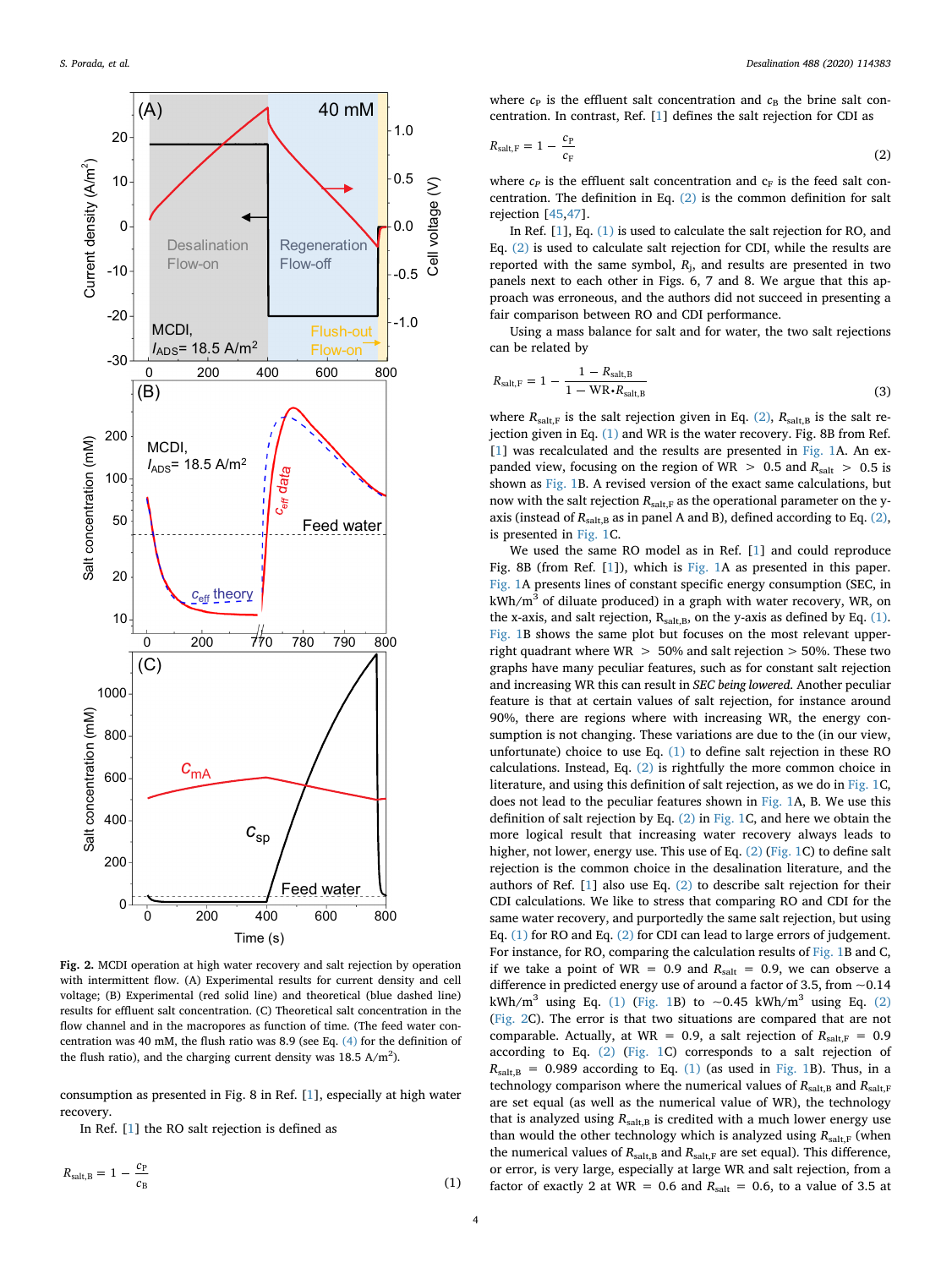<span id="page-3-2"></span>

**Fig. 2.** MCDI operation at high water recovery and salt rejection by operation with intermittent flow. (A) Experimental results for current density and cell voltage; (B) Experimental (red solid line) and theoretical (blue dashed line) results for effluent salt concentration. (C) Theoretical salt concentration in the flow channel and in the macropores as function of time. (The feed water concentration was 40 mM, the flush ratio was 8.9 (see Eq.  $(4)$  for the definition of the flush ratio), and the charging current density was  $18.5 \text{ A/m}^2$ ).

consumption as presented in Fig. 8 in Ref. [\[1\]](#page-5-5), especially at high water recovery.

<span id="page-3-0"></span>In Ref. [[1](#page-5-5)] the RO salt rejection is defined as

 $R_{\text{salt},B} = 1 - \frac{c_{\text{P}}}{c_{\text{B}}}$  $_{\rm B}$  (1)

<span id="page-3-1"></span>where  $c_P$  is the effluent salt concentration and  $c_B$  the brine salt concentration. In contrast, Ref. [\[1\]](#page-5-5) defines the salt rejection for CDI as

$$
R_{\text{salt,F}} = 1 - \frac{c_{\text{P}}}{c_{\text{F}}} \tag{2}
$$

where  $c_P$  is the effluent salt concentration and  $c_F$  is the feed salt concentration. The definition in Eq. [\(2\)](#page-3-1) is the common definition for salt rejection [[45,](#page-6-24)[47\]](#page-6-25).

In Ref. [[1](#page-5-5)], Eq. [\(1\)](#page-3-0) is used to calculate the salt rejection for RO, and Eq. [\(2\)](#page-3-1) is used to calculate salt rejection for CDI, while the results are reported with the same symbol,  $R_i$ , and results are presented in two panels next to each other in Figs. 6, 7 and 8. We argue that this approach was erroneous, and the authors did not succeed in presenting a fair comparison between RO and CDI performance.

Using a mass balance for salt and for water, the two salt rejections can be related by

$$
R_{\text{salt},F} = 1 - \frac{1 - R_{\text{salt},B}}{1 - \text{WR} \cdot R_{\text{salt},B}}
$$
(3)

where  $R_{\text{salt,F}}$  is the salt rejection given in Eq. [\(2\)](#page-3-1),  $R_{\text{salt,B}}$  is the salt rejection given in Eq. [\(1\)](#page-3-0) and WR is the water recovery. Fig. 8B from Ref. [[1](#page-5-5)] was recalculated and the results are presented in [Fig. 1](#page-2-0)A. An expanded view, focusing on the region of WR  $> 0.5$  and  $R_{\text{salt}} > 0.5$  is shown as [Fig. 1B](#page-2-0). A revised version of the exact same calculations, but now with the salt rejection  $R_{\text{salt,F}}$  as the operational parameter on the yaxis (instead of  $R_{\text{salt,B}}$  as in panel A and B), defined according to Eq. [\(2\)](#page-3-1), is presented in [Fig. 1C](#page-2-0).

We used the same RO model as in Ref. [\[1\]](#page-5-5) and could reproduce Fig. 8B (from Ref. [[1](#page-5-5)]), which is [Fig. 1A](#page-2-0) as presented in this paper. [Fig. 1A](#page-2-0) presents lines of constant specific energy consumption (SEC, in  $kWh/m<sup>3</sup>$  of diluate produced) in a graph with water recovery, WR, on the x-axis, and salt rejection,  $R_{salt,B}$ , on the y-axis as defined by Eq. [\(1\)](#page-3-0). [Fig. 1](#page-2-0)B shows the same plot but focuses on the most relevant upperright quadrant where  $WR > 50\%$  and salt rejection  $> 50\%$ . These two graphs have many peculiar features, such as for constant salt rejection and increasing WR this can result in *SEC being lowered*. Another peculiar feature is that at certain values of salt rejection, for instance around 90%, there are regions where with increasing WR, the energy consumption is not changing. These variations are due to the (in our view, unfortunate) choice to use Eq. [\(1\)](#page-3-0) to define salt rejection in these RO calculations. Instead, Eq. [\(2\)](#page-3-1) is rightfully the more common choice in literature, and using this definition of salt rejection, as we do in [Fig. 1](#page-2-0)C, does not lead to the peculiar features shown in [Fig. 1A](#page-2-0), B. We use this definition of salt rejection by Eq. [\(2\)](#page-3-1) in [Fig. 1C](#page-2-0), and here we obtain the more logical result that increasing water recovery always leads to higher, not lower, energy use. This use of Eq. [\(2\)](#page-3-1) [\(Fig. 1](#page-2-0)C) to define salt rejection is the common choice in the desalination literature, and the authors of Ref. [\[1\]](#page-5-5) also use Eq. [\(2\)](#page-3-1) to describe salt rejection for their CDI calculations. We like to stress that comparing RO and CDI for the same water recovery, and purportedly the same salt rejection, but using Eq. [\(1\)](#page-3-0) for RO and Eq. [\(2\)](#page-3-1) for CDI can lead to large errors of judgement. For instance, for RO, comparing the calculation results of [Fig. 1](#page-2-0)B and C, if we take a point of WR =  $0.9$  and  $R_{\text{salt}} = 0.9$ , we can observe a difference in predicted energy use of around a factor of 3.5, from  $\sim$ 0.14 kWh/m<sup>3</sup> using Eq. [\(1\)](#page-3-0) [\(Fig. 1B](#page-2-0)) to  $\sim$ 0.45 kWh/m<sup>3</sup> using Eq. [\(2\)](#page-3-1) ([Fig. 2C](#page-3-2)). The error is that two situations are compared that are not comparable. Actually, at WR = 0.9, a salt rejection of  $R_{\text{saltF}} = 0.9$ according to Eq. [\(2\)](#page-3-1) [\(Fig. 1C](#page-2-0)) corresponds to a salt rejection of  $R_{\text{salt,B}} = 0.989$  according to Eq. [\(1\)](#page-3-0) (as used in [Fig. 1B](#page-2-0)). Thus, in a technology comparison where the numerical values of  $R_{\text{salt,B}}$  and  $R_{\text{salt,F}}$ are set equal (as well as the numerical value of WR), the technology that is analyzed using  $R_{\text{salt,B}}$  is credited with a much lower energy use than would the other technology which is analyzed using  $R_{\text{saltF}}$  (when the numerical values of  $R_{\text{salt,B}}$  and  $R_{\text{salt,F}}$  are set equal). This difference, or error, is very large, especially at large WR and salt rejection, from a factor of exactly 2 at WR = 0.6 and  $R_{\text{salt}} = 0.6$ , to a value of 3.5 at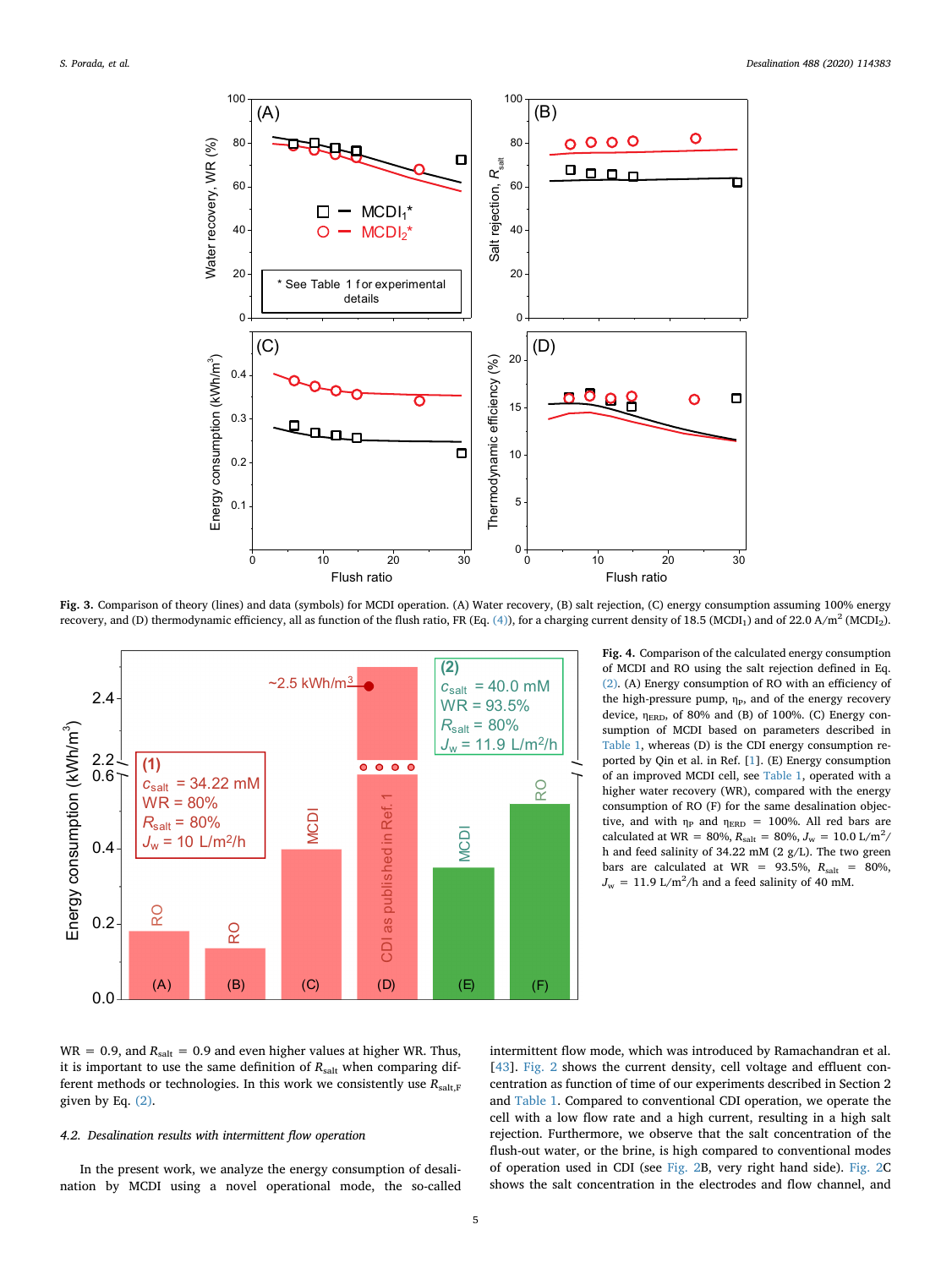<span id="page-4-0"></span>

Fig. 3. Comparison of theory (lines) and data (symbols) for MCDI operation. (A) Water recovery, (B) salt rejection, (C) energy consumption assuming 100% energy recovery, and (D) thermodynamic efficiency, all as function of the flush ratio, FR (Eq. [\(4\)\)](#page-5-6), for a charging current density of 18.5 (MCDI<sub>1</sub>) and of 22.0 A/m<sup>2</sup> (MCDI<sub>2</sub>).

<span id="page-4-1"></span>

**Fig. 4.** Comparison of the calculated energy consumption of MCDI and RO using the salt rejection defined in Eq. [\(2\)](#page-3-1). (A) Energy consumption of RO with an efficiency of the high-pressure pump,  $\eta_P$ , and of the energy recovery device,  $\eta_{\text{ERD}}$ , of 80% and (B) of 100%. (C) Energy consumption of MCDI based on parameters described in [Table 1](#page-1-0), whereas (D) is the CDI energy consumption reported by Qin et al. in Ref. [[1\]](#page-5-5). (E) Energy consumption of an improved MCDI cell, see [Table 1](#page-1-0), operated with a higher water recovery (WR), compared with the energy consumption of RO (F) for the same desalination objective, and with  $\eta_P$  and  $\eta_{\text{ERD}}$  = 100%. All red bars are calculated at WR = 80%,  $R_{\text{salt}} = 80\%$ ,  $J_w = 10.0 \text{ L/m}^2$ / h and feed salinity of 34.22 mM (2 g/L). The two green bars are calculated at WR =  $93.5\%$ ,  $R_{\text{salt}}$  =  $80\%$ ,  $J_{\rm w}$  = 11.9 L/m<sup>2</sup>/h and a feed salinity of 40 mM.

 $WR = 0.9$ , and  $R_{salt} = 0.9$  and even higher values at higher WR. Thus, it is important to use the same definition of  $R_{\text{salt}}$  when comparing different methods or technologies. In this work we consistently use  $R_{\text{salt.F}}$ given by Eq. [\(2\)](#page-3-1).

#### *4.2. Desalination results with intermittent flow operation*

In the present work, we analyze the energy consumption of desalination by MCDI using a novel operational mode, the so-called intermittent flow mode, which was introduced by Ramachandran et al. [[43\]](#page-6-20). [Fig. 2](#page-3-2) shows the current density, cell voltage and effluent concentration as function of time of our experiments described in Section 2 and [Table 1.](#page-1-0) Compared to conventional CDI operation, we operate the cell with a low flow rate and a high current, resulting in a high salt rejection. Furthermore, we observe that the salt concentration of the flush-out water, or the brine, is high compared to conventional modes of operation used in CDI (see [Fig. 2B](#page-3-2), very right hand side). [Fig. 2C](#page-3-2) shows the salt concentration in the electrodes and flow channel, and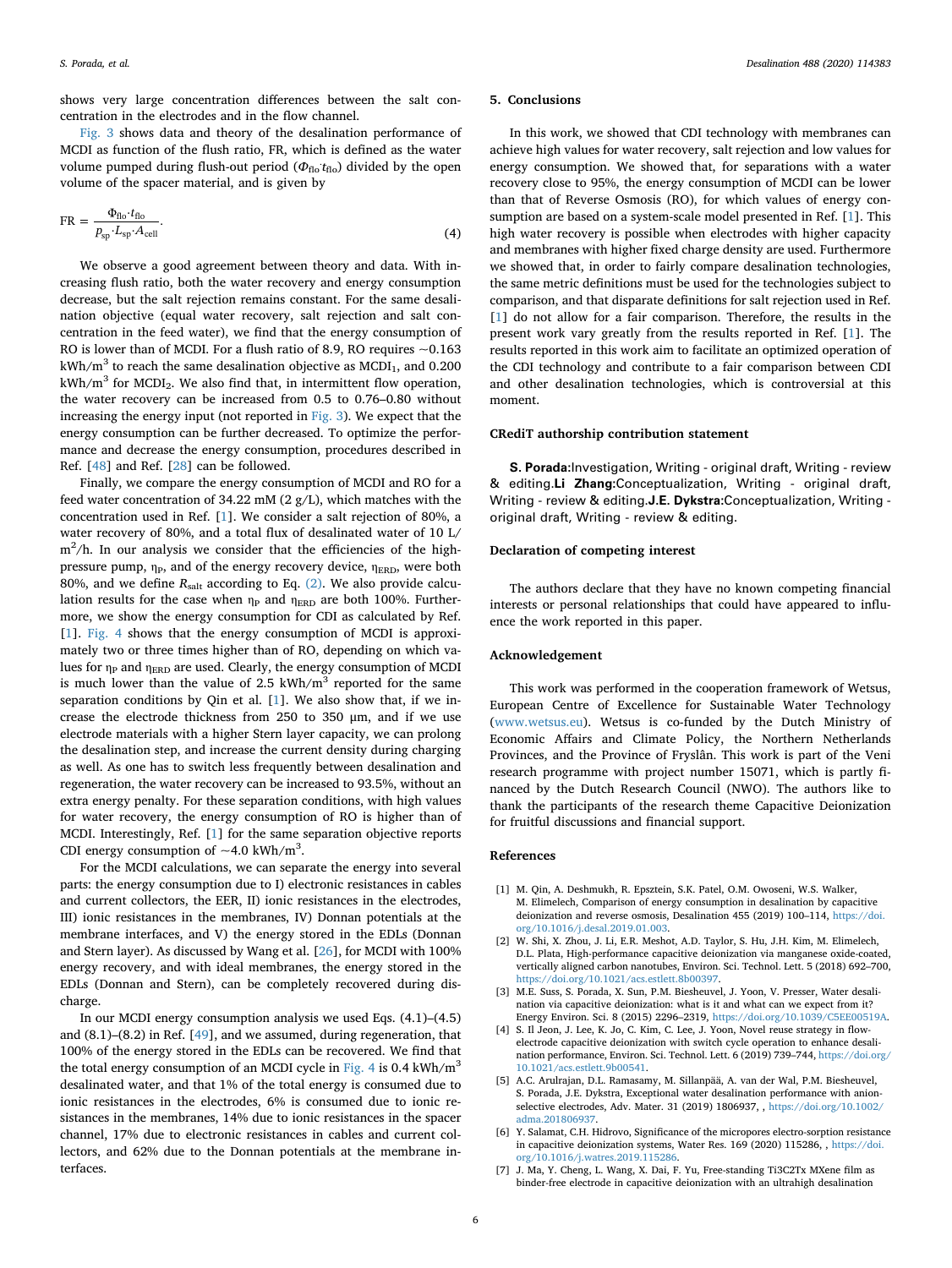shows very large concentration differences between the salt concentration in the electrodes and in the flow channel.

[Fig. 3](#page-4-0) shows data and theory of the desalination performance of MCDI as function of the flush ratio, FR, which is defined as the water volume pumped during flush-out period ( $\Phi_{\text{flo}}$ : t<sub>flo</sub>) divided by the open volume of the spacer material, and is given by

<span id="page-5-6"></span>
$$
FR = \frac{\Phi_{\text{flo}} \cdot t_{\text{flo}}}{p_{\text{sp}} \cdot L_{\text{sp}} \cdot A_{\text{cell}}}.
$$
\n(4)

We observe a good agreement between theory and data. With increasing flush ratio, both the water recovery and energy consumption decrease, but the salt rejection remains constant. For the same desalination objective (equal water recovery, salt rejection and salt concentration in the feed water), we find that the energy consumption of RO is lower than of MCDI. For a flush ratio of 8.9, RO requires  $\sim$  0.163  $kWh/m<sup>3</sup>$  to reach the same desalination objective as MCDI<sub>1</sub>, and 0.200  $kWh/m<sup>3</sup>$  for MCDI<sub>2</sub>. We also find that, in intermittent flow operation, the water recovery can be increased from 0.5 to 0.76–0.80 without increasing the energy input (not reported in [Fig. 3\)](#page-4-0). We expect that the energy consumption can be further decreased. To optimize the performance and decrease the energy consumption, procedures described in Ref. [[48\]](#page-6-26) and Ref. [\[28](#page-6-7)] can be followed.

Finally, we compare the energy consumption of MCDI and RO for a feed water concentration of 34.22 mM (2 g/L), which matches with the concentration used in Ref. [\[1\]](#page-5-5). We consider a salt rejection of 80%, a water recovery of 80%, and a total flux of desalinated water of 10 L/  $m^2/h$ . In our analysis we consider that the efficiencies of the highpressure pump,  $η_{\rm P}$ , and of the energy recovery device,  $η_{\rm ERD}$ , were both 80%, and we define  $R_{\text{salt}}$  according to Eq. [\(2\).](#page-3-1) We also provide calculation results for the case when  $\eta_P$  and  $\eta_{\rm ERD}$  are both 100%. Furthermore, we show the energy consumption for CDI as calculated by Ref. [[1](#page-5-5)]. [Fig. 4](#page-4-1) shows that the energy consumption of MCDI is approximately two or three times higher than of RO, depending on which values for  $\eta_P$  and  $\eta_{\rm ERD}$  are used. Clearly, the energy consumption of MCDI is much lower than the value of 2.5 kWh/ $m<sup>3</sup>$  reported for the same separation conditions by Qin et al. [[1](#page-5-5)]. We also show that, if we increase the electrode thickness from 250 to 350 μm, and if we use electrode materials with a higher Stern layer capacity, we can prolong the desalination step, and increase the current density during charging as well. As one has to switch less frequently between desalination and regeneration, the water recovery can be increased to 93.5%, without an extra energy penalty. For these separation conditions, with high values for water recovery, the energy consumption of RO is higher than of MCDI. Interestingly, Ref. [[1](#page-5-5)] for the same separation objective reports CDI energy consumption of  $~1$ .0 kWh/m<sup>3</sup>.

For the MCDI calculations, we can separate the energy into several parts: the energy consumption due to I) electronic resistances in cables and current collectors, the EER, II) ionic resistances in the electrodes, III) ionic resistances in the membranes, IV) Donnan potentials at the membrane interfaces, and V) the energy stored in the EDLs (Donnan and Stern layer). As discussed by Wang et al. [\[26](#page-6-5)], for MCDI with 100% energy recovery, and with ideal membranes, the energy stored in the EDLs (Donnan and Stern), can be completely recovered during discharge.

In our MCDI energy consumption analysis we used Eqs. (4.1)–(4.5) and (8.1)–(8.2) in Ref. [[49\]](#page-6-27), and we assumed, during regeneration, that 100% of the energy stored in the EDLs can be recovered. We find that the total energy consumption of an MCDI cycle in [Fig. 4](#page-4-1) is 0.4  $kWh/m<sup>3</sup>$ desalinated water, and that 1% of the total energy is consumed due to ionic resistances in the electrodes, 6% is consumed due to ionic resistances in the membranes, 14% due to ionic resistances in the spacer channel, 17% due to electronic resistances in cables and current collectors, and 62% due to the Donnan potentials at the membrane interfaces.

#### **5. Conclusions**

In this work, we showed that CDI technology with membranes can achieve high values for water recovery, salt rejection and low values for energy consumption. We showed that, for separations with a water recovery close to 95%, the energy consumption of MCDI can be lower than that of Reverse Osmosis (RO), for which values of energy consumption are based on a system-scale model presented in Ref. [\[1\]](#page-5-5). This high water recovery is possible when electrodes with higher capacity and membranes with higher fixed charge density are used. Furthermore we showed that, in order to fairly compare desalination technologies, the same metric definitions must be used for the technologies subject to comparison, and that disparate definitions for salt rejection used in Ref. [[1](#page-5-5)] do not allow for a fair comparison. Therefore, the results in the present work vary greatly from the results reported in Ref. [[1](#page-5-5)]. The results reported in this work aim to facilitate an optimized operation of the CDI technology and contribute to a fair comparison between CDI and other desalination technologies, which is controversial at this moment.

#### **CRediT authorship contribution statement**

**S. Porada:**Investigation, Writing - original draft, Writing - review & editing.**Li Zhang:**Conceptualization, Writing - original draft, Writing - review & editing.**J.E. Dykstra:**Conceptualization, Writing original draft, Writing - review & editing.

### **Declaration of competing interest**

The authors declare that they have no known competing financial interests or personal relationships that could have appeared to influence the work reported in this paper.

## **Acknowledgement**

This work was performed in the cooperation framework of Wetsus, European Centre of Excellence for Sustainable Water Technology ([www.wetsus.eu\)](http://www.wetsus.eu). Wetsus is co-funded by the Dutch Ministry of Economic Affairs and Climate Policy, the Northern Netherlands Provinces, and the Province of Fryslân. This work is part of the Veni research programme with project number 15071, which is partly financed by the Dutch Research Council (NWO). The authors like to thank the participants of the research theme Capacitive Deionization for fruitful discussions and financial support.

## **References**

- <span id="page-5-5"></span>[1] M. Qin, A. Deshmukh, R. Epsztein, S.K. Patel, O.M. Owoseni, W.S. Walker, M. Elimelech, Comparison of energy consumption in desalination by capacitive deionization and reverse osmosis, Desalination 455 (2019) 100–114, [https://doi.](https://doi.org/10.1016/j.desal.2019.01.003) [org/10.1016/j.desal.2019.01.003.](https://doi.org/10.1016/j.desal.2019.01.003)
- <span id="page-5-0"></span>[2] W. Shi, X. Zhou, J. Li, E.R. Meshot, A.D. Taylor, S. Hu, J.H. Kim, M. Elimelech, D.L. Plata, High-performance capacitive deionization via manganese oxide-coated, vertically aligned carbon nanotubes, Environ. Sci. Technol. Lett. 5 (2018) 692–700, [https://doi.org/10.1021/acs.estlett.8b00397.](https://doi.org/10.1021/acs.estlett.8b00397)
- <span id="page-5-1"></span>[3] M.E. Suss, S. Porada, X. Sun, P.M. Biesheuvel, J. Yoon, V. Presser, Water desalination via capacitive deionization: what is it and what can we expect from it? Energy Environ. Sci. 8 (2015) 2296–2319, [https://doi.org/10.1039/C5EE00519A.](https://doi.org/10.1039/C5EE00519A)
- <span id="page-5-2"></span>[4] S. Il Jeon, J. Lee, K. Jo, C. Kim, C. Lee, J. Yoon, Novel reuse strategy in flowelectrode capacitive deionization with switch cycle operation to enhance desalination performance, Environ. Sci. Technol. Lett. 6 (2019) 739–744, [https://doi.org/](https://doi.org/10.1021/acs.estlett.9b00541) [10.1021/acs.estlett.9b00541.](https://doi.org/10.1021/acs.estlett.9b00541)
- <span id="page-5-3"></span>[5] A.C. Arulrajan, D.L. Ramasamy, M. Sillanpää, A. van der Wal, P.M. Biesheuvel, S. Porada, J.E. Dykstra, Exceptional water desalination performance with anionselective electrodes, Adv. Mater. 31 (2019) 1806937, , [https://doi.org/10.1002/](https://doi.org/10.1002/adma.201806937) [adma.201806937.](https://doi.org/10.1002/adma.201806937)
- <span id="page-5-4"></span>[6] Y. Salamat, C.H. Hidrovo, Significance of the micropores electro-sorption resistance in capacitive deionization systems, Water Res. 169 (2020) 115286, , [https://doi.](https://doi.org/10.1016/j.watres.2019.115286) [org/10.1016/j.watres.2019.115286.](https://doi.org/10.1016/j.watres.2019.115286)
- [7] J. Ma, Y. Cheng, L. Wang, X. Dai, F. Yu, Free-standing Ti3C2Tx MXene film as binder-free electrode in capacitive deionization with an ultrahigh desalination